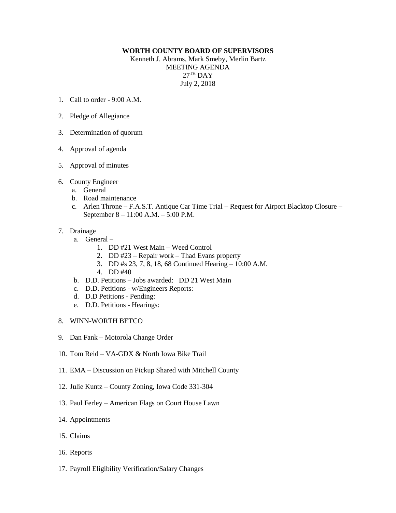## **WORTH COUNTY BOARD OF SUPERVISORS**

Kenneth J. Abrams, Mark Smeby, Merlin Bartz MEETING AGENDA  $27^{\text{TH}}$  DAY July 2, 2018

- 1. Call to order 9:00 A.M.
- 2. Pledge of Allegiance
- 3. Determination of quorum
- 4. Approval of agenda
- 5. Approval of minutes
- 6. County Engineer
	- a. General
	- b. Road maintenance
	- c. Arlen Throne F.A.S.T. Antique Car Time Trial Request for Airport Blacktop Closure September 8 – 11:00 A.M. – 5:00 P.M.

## 7. Drainage

- a. General
	- 1. DD #21 West Main Weed Control
	- 2. DD #23 Repair work Thad Evans property
	- 3. DD #s 23, 7, 8, 18, 68 Continued Hearing 10:00 A.M.
	- 4. DD #40
- b. D.D. Petitions Jobs awarded: DD 21 West Main
- c. D.D. Petitions w/Engineers Reports:
- d. D.D Petitions Pending:
- e. D.D. Petitions Hearings:
- 8. WINN-WORTH BETCO
- 9. Dan Fank Motorola Change Order
- 10. Tom Reid VA-GDX & North Iowa Bike Trail
- 11. EMA Discussion on Pickup Shared with Mitchell County
- 12. Julie Kuntz County Zoning, Iowa Code 331-304
- 13. Paul Ferley American Flags on Court House Lawn
- 14. Appointments
- 15. Claims
- 16. Reports
- 17. Payroll Eligibility Verification/Salary Changes